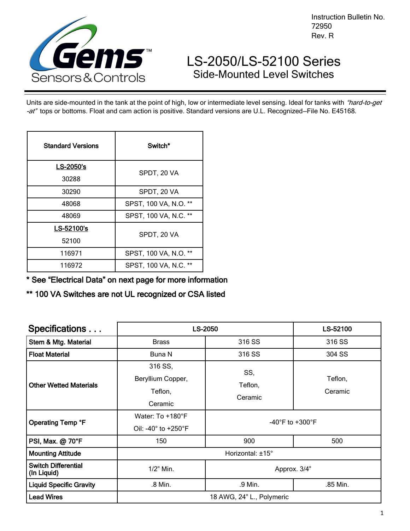

Instruction Bulletin No. 72950 Rev. R

# LS-2050/LS-52100 Series Side-Mounted Level Switches

Units are side-mounted in the tank at the point of high, low or intermediate level sensing. Ideal for tanks with "hard-to-get -at" tops or bottoms. Float and cam action is positive. Standard versions are U.L. Recognized–File No. E45168.

| <b>Standard Versions</b> | Switch*                               |  |
|--------------------------|---------------------------------------|--|
| LS-2050's                | SPDT, 20 VA                           |  |
| 30288                    |                                       |  |
| 30290                    | SPDT, 20 VA                           |  |
| 48068                    | SPST, 100 VA, N.O.<br>$^{\star\star}$ |  |
| 48069                    | SPST, 100 VA, N.C. **                 |  |
| LS-52100's               | SPDT, 20 VA                           |  |
| 52100                    |                                       |  |
| 116971                   | SPST, 100 VA, N.O.                    |  |
| 116972                   | SPST, 100 VA, N.C. **                 |  |

\* See "Electrical Data" on next page for more information

\*\* 100 VA Switches are not UL recognized or CSA listed

| Specifications                            | <b>LS-2050</b>                                               | LS-52100                                        |          |  |  |
|-------------------------------------------|--------------------------------------------------------------|-------------------------------------------------|----------|--|--|
| Stem & Mtg. Material                      | <b>Brass</b>                                                 | 316 SS                                          | 316 SS   |  |  |
| <b>Float Material</b>                     | Buna N                                                       | 316 SS                                          | 304 SS   |  |  |
| <b>Other Wetted Materials</b>             | 316 SS,<br>Beryllium Copper,<br>Teflon,<br>Ceramic           | SS,<br>Teflon,<br>Teflon,<br>Ceramic<br>Ceramic |          |  |  |
| Operating Temp °F                         | Water: To +180°F<br>Oil: -40 $^{\circ}$ to +250 $^{\circ}$ F | -40 $\degree$ F to +300 $\degree$ F             |          |  |  |
| PSI, Max. @ 70°F<br>150                   |                                                              | 900                                             | 500      |  |  |
| <b>Mounting Attitude</b>                  | Horizontal: ±15°                                             |                                                 |          |  |  |
| <b>Switch Differential</b><br>(In Liquid) | $1/2$ " Min.                                                 | Approx. 3/4"                                    |          |  |  |
| <b>Liquid Specific Gravity</b><br>.8 Min. |                                                              | .9 Min.                                         | .85 Min. |  |  |
| <b>Lead Wires</b>                         | 18 AWG, 24" L., Polymeric                                    |                                                 |          |  |  |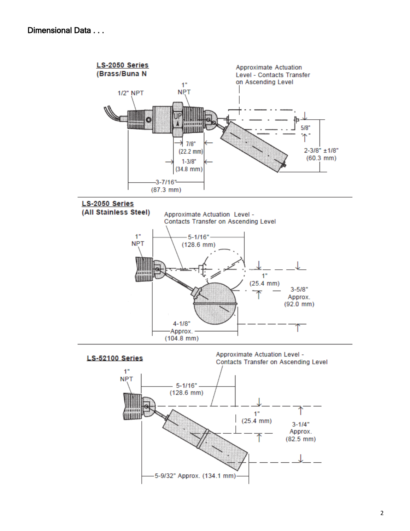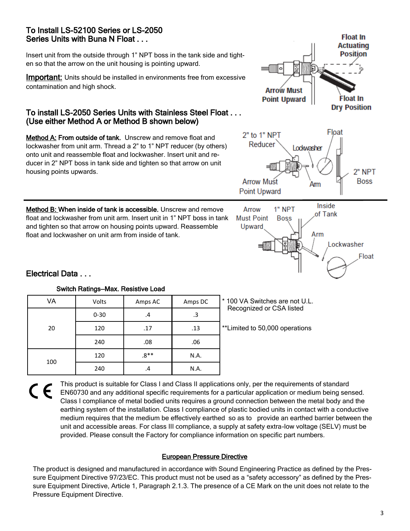## To Install LS-52100 Series or LS-2050 Series Units with Buna N Float . . .

Insert unit from the outside through 1" NPT boss in the tank side and tighten so that the arrow on the unit housing is pointing upward.

**Important:** Units should be installed in environments free from excessive contamination and high shock.

## To install LS-2050 Series Units with Stainless Steel Float . . . (Use either Method A or Method B shown below)

Method A: From outside of tank. Unscrew and remove float and lockwasher from unit arm. Thread a 2" to 1" NPT reducer (by others) onto unit and reassemble float and lockwasher. Insert unit and reducer in 2" NPT boss in tank side and tighten so that arrow on unit housing points upwards.

Method B: When inside of tank is accessible. Unscrew and remove float and lockwasher from unit arm. Insert unit in 1" NPT boss in tank and tighten so that arrow on housing points upward. Reassemble float and lockwasher on unit arm from inside of tank.



**Float In** Actuating



# Electrical Data . . .

| VA  | Volts    | Amps AC | Amps DC | * 100 VA Switches are not U.L.<br>Recognized or CSA listed |
|-----|----------|---------|---------|------------------------------------------------------------|
|     | $0 - 30$ | .4      | .3      |                                                            |
| 20  | 120      | .17     | .13     | **Limited to 50,000 operations                             |
|     | 240      | .08     | .06     |                                                            |
| 100 | 120      | $.8**$  | N.A.    |                                                            |
|     | 240      | .4      | N.A.    |                                                            |

Switch Ratings—Max. Resistive Load

This product is suitable for Class I and Class II applications only, per the requirements of standard  $\epsilon$ EN60730 and any additional specific requirements for a particular application or medium being sensed. Class I compliance of metal bodied units requires a ground connection between the metal body and the earthing system of the installation. Class I compliance of plastic bodied units in contact with a conductive medium requires that the medium be effectively earthed so as to provide an earthed barrier between the unit and accessible areas. For class III compliance, a supply at safety extra-low voltage (SELV) must be provided. Please consult the Factory for compliance information on specific part numbers.

#### European Pressure Directive

The product is designed and manufactured in accordance with Sound Engineering Practice as defined by the Pressure Equipment Directive 97/23/EC. This product must not be used as a "safety accessory" as defined by the Pressure Equipment Directive, Article 1, Paragraph 2.1.3. The presence of a CE Mark on the unit does not relate to the Pressure Equipment Directive.